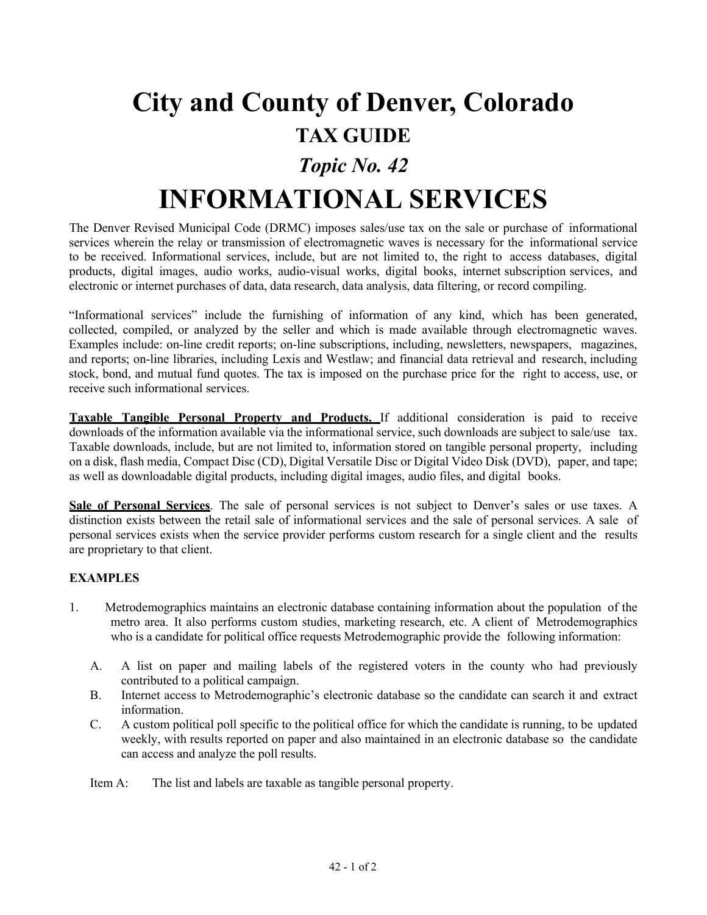## **City and County of Denver, Colorado TAX GUIDE**

## *Topic No. 42*

## **INFORMATIONAL SERVICES**

The Denver Revised Municipal Code (DRMC) imposes sales/use tax on the sale or purchase of informational services wherein the relay or transmission of electromagnetic waves is necessary for the informational service to be received. Informational services, include, but are not limited to, the right to access databases, digital products, digital images, audio works, audio-visual works, digital books, internet subscription services, and electronic or internet purchases of data, data research, data analysis, data filtering, or record compiling.

"Informational services" include the furnishing of information of any kind, which has been generated, collected, compiled, or analyzed by the seller and which is made available through electromagnetic waves. Examples include: on-line credit reports; on-line subscriptions, including, newsletters, newspapers, magazines, and reports; on-line libraries, including Lexis and Westlaw; and financial data retrieval and research, including stock, bond, and mutual fund quotes. The tax is imposed on the purchase price for the right to access, use, or receive such informational services.

**Taxable Tangible Personal Property and Products.** If additional consideration is paid to receive downloads of the information available via the informational service, such downloads are subject to sale/use tax. Taxable downloads, include, but are not limited to, information stored on tangible personal property, including on a disk, flash media, Compact Disc (CD), Digital Versatile Disc or Digital Video Disk (DVD), paper, and tape; as well as downloadable digital products, including digital images, audio files, and digital books.

**Sale of Personal Services**. The sale of personal services is not subject to Denver's sales or use taxes. A distinction exists between the retail sale of informational services and the sale of personal services. A sale of personal services exists when the service provider performs custom research for a single client and the results are proprietary to that client.

## **EXAMPLES**

- 1. Metrodemographics maintains an electronic database containing information about the population of the metro area. It also performs custom studies, marketing research, etc. A client of Metrodemographics who is a candidate for political office requests Metrodemographic provide the following information:
	- A. A list on paper and mailing labels of the registered voters in the county who had previously contributed to a political campaign.
	- B. Internet access to Metrodemographic's electronic database so the candidate can search it and extract information.
	- C. A custom political poll specific to the political office for which the candidate is running, to be updated weekly, with results reported on paper and also maintained in an electronic database so the candidate can access and analyze the poll results.

Item A: The list and labels are taxable as tangible personal property.